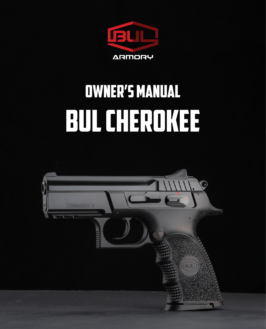

# BUL CHEROKEE Owner's Manual

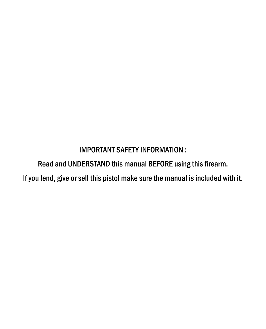IMPORTANT SAFETY INFORMATION :

Read and UNDERSTAND this manual BEFORE using this firearm.

lf you lend, give or sell this pistol make sure the manual is included with it.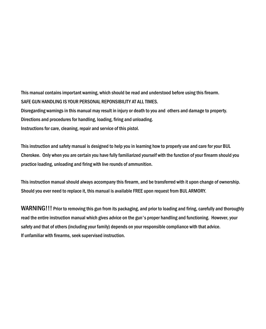This manual contains important warning, which should be read and understood before using this firearm. SAFE GUN HANDLING IS YOUR PERSONAL REPONSIBILITY AT ALL TIMES.

Disregarding warnings in this manual may result in injury or death to you and others and damage to property. Directions and procedures for handling, loading, firing and unloading. Instructions for care, cleaning, repair and service of this pistol.

This instruction and safety manual is designed to help you in learning how to properly use and care for your BUL Cherokee. Only when you are certain you have fully familiarized yourself with the function of your firearm should you practice loading, unloading and firing with live rounds of ammunition.

This instruction manual should always accompany this firearm, and be transferred with it upon change of ownership. Should you ever need to replace it, this manual is available FREE upon request from BUL ARMORY.

WARNING!!! Prior to removing this gun from its packaging, and prior to loading and firing, carefully and thoroughly read the entire instruction manual which gives advice on the gun's proper handling and functioning. However, your safety and that of others (including your family) depends on your responsible compliance with that advice. If unfamiliar with firearms, seek supervised instruction.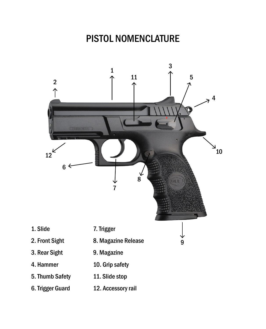## PISTOL NOMENCLATURE

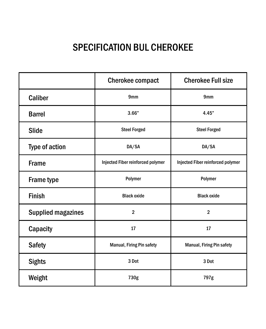# SPECIFICATION BUL CHEROKEE

|                           | <b>Cherokee compact</b>           | <b>Cherokee Full size</b>         |
|---------------------------|-----------------------------------|-----------------------------------|
| Caliber                   | 9 <sub>mm</sub>                   | 9 <sub>mm</sub>                   |
| <b>Barrel</b>             | 3.66"                             | 4.45"                             |
| Slide                     | <b>Steel Forged</b>               | <b>Steel Forged</b>               |
| Type of action            | DA/SA                             | DA/SA                             |
| <b>Frame</b>              | Injected Fiber reinforced polymer | Injected Fiber reinforced polymer |
| Frame type                | Polymer                           | Polymer                           |
| <b>Finish</b>             | <b>Black oxide</b>                | <b>Black oxide</b>                |
| <b>Supplied magazines</b> | $\overline{2}$                    | $\overline{2}$                    |
| Capacity                  | 17                                | 17                                |
| <b>Safety</b>             | Manual, Firing Pin safety         | Manual, Firing Pin safety         |
| <b>Sights</b>             | 3 Dot                             | 3 Dot                             |
| Weight                    | 730g                              | 797g                              |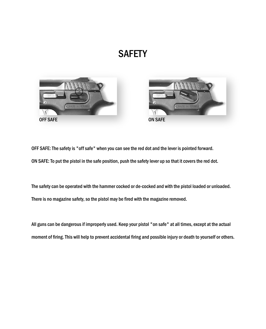## **SAFETY**





OFF SAFE: The safety is "off safe" when you can see the red dot and the lever is pointed forward.

ON SAFE: To put the pistol in the safe position, push the safety lever up so that it covers the red dot.

The safety can be operated with the hammer cocked or de-cocked and with the pistol loaded or unloaded. There is no magazine safety, so the pistol may be fired with the magazine removed.

All guns can be dangerous if improperly used. Keep your pistol "on safe" at all times, except at the actual moment of firing. This will help to prevent accidental firing and possible injury or death to yourself or others.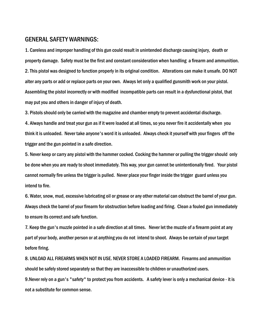#### GENERAL SAFETY WARNINGS:

1. Careless and improper handling of this gun could result in unintended discharge causing injury, death or property damage. Safety must be the first and constant consideration when handling a firearm and ammunition. 2. This pistol was designed to function properly in its original condition. Alterations can make it unsafe. DO NOT alter any parts or add or replace parts on your own. Always let only a qualified gunsmith work on your pistol. Assembling the pistol incorrectly or with modified incompatible parts can result in a dysfunctional pistol, that may put you and others in danger of injury of death.

3. Pistols should only be carried with the magazine and chamber empty to prevent accidental discharge.

4. Always handle and treat your gun as if it were loaded at all times, so you never fire it accidentally when you think it is unloaded. Never take anyone's word it is unloaded. Always check it yourself with your fingers off the trigger and the gun pointed in a safe direction.

5. Never keep or carry any pistol with the hammer cocked. Cocking the hammer or pulling the trigger should only be done when you are ready to shoot immediately. This way, your gun cannot be unintentionally fired. Your pistol cannot normally fire unless the trigger is pulled. Never place your finger inside the trigger guard unless you intend to fire.

6. Water, snow, mud, excessive lubricating oil or grease or any other material can obstruct the barrel of your gun. Always check the barrel of your firearm for obstruction before loading and firing. Clean a fouled gun immediately to ensure its correct and safe function.

7. Keep the gun's muzzle pointed in a safe direction at all times. Never let the muzzle of a firearm point at any part of your body, another person or at anything you do not intend to shoot. Always be certain of your target before firing.

8. UNLOAD ALL FIREARMS WHEN NOT IN USE. NEVER STORE A LOADED FIREARM. Firearms and ammunition should be safely stored separately so that they are inaccessible to children or unauthorized users.

9.Never rely on a gun's "safety" to protect you from accidents. A safety lever is only a mechanical device - it is not a substitute for common sense.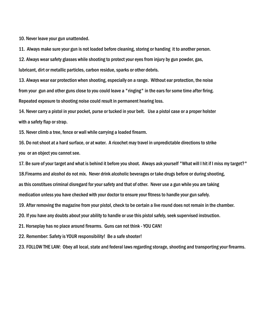10. Never leave your gun unattended.

11. Always make sure your gun is not loaded before cleaning, storing or handing it to another person.

12. Always wear safety glasses while shooting to protect your eyes from injury by gun powder, gas, lubricant, dirt or metallic particles, carbon residue, sparks or other debris.

13. Always wear ear protection when shooting, especially on a range. Without ear protection, the noise from your gun and other guns close to you could leave a "ringing" in the ears for some time after firing. Repeated exposure to shooting noise could result in permanent hearing loss.

14. Never carry a pistol in your pocket, purse or tucked in your belt. Use a pistol case or a proper holster with a safety flap or strap.

15. Never climb a tree, fence or wall while carrying a loaded firearm.

16. Do not shoot at a hard surface, or at water. A ricochet may travel in unpredictable directions to strike you or an object you cannot see.

17. Be sure of your target and what is behind it before you shoot. Always ask yourself "What will I hit if I miss my target?"

18.Firearms and alcohol do not mix. Never drink alcoholic beverages or take drugs before or during shooting,

as this constitues criminal disregard for your safety and that of other. Never use a gun while you are taking

medication unless you have checked with your doctor to ensure your fitness to handle your gun safely.

19. After removing the magazine from your pistol, check to be certain a live round does not remain in the chamber.

20. If you have any doubts about your ability to handle or use this pistol safely, seek supervised instruction.

21. Horseplay has no place around firearms. Guns can not think - YOU CAN!

22. Remember: Safety is YOUR responsibility! Be a safe shooter!

23. FOLLOW THE LAW: Obey all local, state and federal laws regarding storage, shooting and transporting your firearms.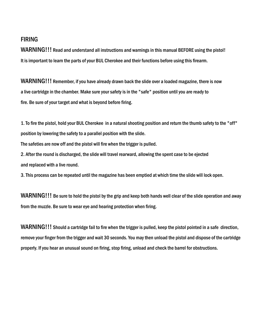#### FIRING

WARNING!!! Read and understand all instructions and warnings in this manual BEFORE using the pistol! It is important to learn the parts of your BUL Cherokee and their functions before using this firearm.

WARNING!!! Remember, if you have already drawn back the slide over a loaded magazine, there is now a live cartridge in the chamber. Make sure your safety is in the "safe" position until you are ready to fire. Be sure of your target and what is beyond before firing.

1. To fire the pistol, hold your BUL Cherokee in a natural shooting position and return the thumb safety to the "off" position by lowering the safety to a parallel position with the slide.

The safeties are now off and the pistol will fire when the trigger is pulled.

2. After the round is discharged, the slide will travel rearward, allowing the spent case to be ejected and replaced with a live round.

3. This process can be repeated until the magazine has been emptied at which time the slide will lock open.

WARNING!!! Be sure to hold the pistol by the grip and keep both hands well clear of the slide operation and away from the muzzle. Be sure to wear eye and hearing protection when firing.

WARNING!!! Should a cartridge fail to fire when the trigger is pulled, keep the pistol pointed in a safe direction, remove your finger from the trigger and wait 30 seconds. You may then unload the pistol and dispose of the cartridge properly. If you hear an unusual sound on firing, stop firing, unload and check the barrel for obstructions.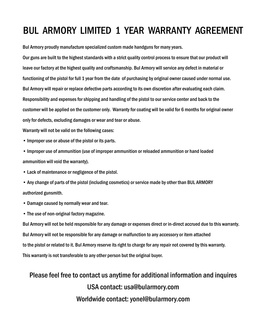## BUL ARMORY LIMITED 1 YEAR WARRANTY AGREEMENT

Bul Armory proudly manufacture specialized custom made handguns for many years.

Our guns are built to the highest standards with a strict quality control process to ensure that our product will leave our factory at the highest quality and craftsmanship. Bul Armory will service any defect in material or functioning of the pistol for full 1 year from the date of purchasing by original owner caused under normal use. Bul Armory will repair or replace defective parts according to its own discretion after evaluating each claim. Responsibility and expenses for shipping and handling of the pistol to our service center and back to the customer will be applied on the customer only. Warranty for coating will be valid for 6 months for original owner only for defects, excluding damages or wear and tear or abuse.

Warranty will not be valid on the following cases:

- Improper use or abuse of the pistol or its parts.
- Improper use of ammunition (use of improper ammunition or reloaded ammunition or hand loaded ammunition will void the warranty).
- Lack of maintenance or negligence of the pistol.
- Any change of parts of the pistol (including cosmetics) or service made by other than BUL ARMORY authorized gunsmith.
- Damage caused by normally wear and tear.
- The use of non-original factory magazine.

Bul Armory will not be held responsible for any damage or expenses direct or in-direct accrued due to this warranty. Bul Armory will not be responsible for any damage or malfunction to any accessory or item attached to the pistol or related to it. Bul Armory reserve its right to charge for any repair not covered by this warranty. This warranty is not transferable to any other person but the original buyer.

### Please feel free to contact us anytime for additional information and inquires USA contact: usa@bularmory.com Worldwide contact: yonel@bularmory.com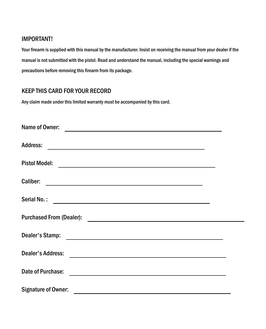#### IMPORTANT!

Your firearm is supplied with this manual by the manufacturer. Insist on receiving the manual from your dealer if the manual is not submitted with the pistol. Read and understand the manual, including the special warnings and precautions before removing this firearm from its package.

#### KEEP THIS CARD FOR YOUR RECORD

Any claim made under this limited warranty must be accompanied by this card.

| Name of Owner:<br><u> 1980 - Andrea Station, amerikan basal pada sebagai personal personal personal personal personal personal per</u>                                                                                                                  |  |
|---------------------------------------------------------------------------------------------------------------------------------------------------------------------------------------------------------------------------------------------------------|--|
| <b>Address:</b><br><u> 1989 - Johann Stein, mars an deus Amerikaansk kommunister (</u>                                                                                                                                                                  |  |
| <b>Pistol Model:</b><br><u> 1989 - Johann Barbara, martxa amerikan personal (h. 1989).</u>                                                                                                                                                              |  |
| Caliber:                                                                                                                                                                                                                                                |  |
| Serial No.:<br><u> Alexandria de la contrada de la contrada de la contrada de la contrada de la contrada de la contrada de la c</u>                                                                                                                     |  |
| <b>Purchased From (Dealer):</b><br><u> Alexandria de la contexta de la contexta de la contexta de la contexta de la contexta de la contexta de la c</u>                                                                                                 |  |
| Dealer's Stamp:<br><u> 1989 - Johann Stoff, deutscher Stoffen und der Stoffen und der Stoffen und der Stoffen und der Stoffen und der Stoffen und der Stoffen und der Stoffen und der Stoffen und der Stoffen und der Stoffen und der Stoffen und d</u> |  |
| Dealer's Address:<br><u> 1989 - Andrea Andrew Maria (h. 1989).</u>                                                                                                                                                                                      |  |
| Date of Purchase:                                                                                                                                                                                                                                       |  |
| Signature of Owner:                                                                                                                                                                                                                                     |  |